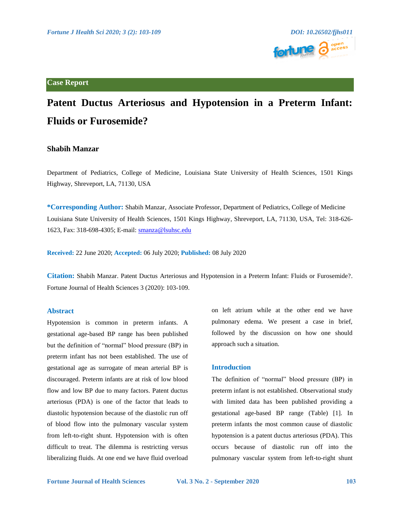

# **Case Report**

# **Patent Ductus Arteriosus and Hypotension in a Preterm Infant: Fluids or Furosemide?**

# **Shabih Manzar**

Department of Pediatrics, College of Medicine, Louisiana State University of Health Sciences, 1501 Kings Highway, Shreveport, LA, 71130, USA

**\*Corresponding Author:** Shabih Manzar, Associate Professor, Department of Pediatrics, College of Medicine Louisiana State University of Health Sciences, 1501 Kings Highway, Shreveport, LA, 71130, USA, Tel: 318-626- 1623, Fax: 318-698-4305; E-mail[: smanza@lsuhsc.edu](mailto:smanza@lsuhsc.edu)

**Received:** 22 June 2020; **Accepted:** 06 July 2020; **Published:** 08 July 2020

**Citation:** Shabih Manzar. Patent Ductus Arteriosus and Hypotension in a Preterm Infant: Fluids or Furosemide?. Fortune Journal of Health Sciences 3 (2020): 103-109.

### **Abstract**

Hypotension is common in preterm infants. A gestational age-based BP range has been published but the definition of "normal" blood pressure (BP) in preterm infant has not been established. The use of gestational age as surrogate of mean arterial BP is discouraged. Preterm infants are at risk of low blood flow and low BP due to many factors. Patent ductus arteriosus (PDA) is one of the factor that leads to diastolic hypotension because of the diastolic run off of blood flow into the pulmonary vascular system from left-to-right shunt. Hypotension with is often difficult to treat. The dilemma is restricting versus liberalizing fluids. At one end we have fluid overload on left atrium while at the other end we have pulmonary edema. We present a case in brief, followed by the discussion on how one should approach such a situation.

## **Introduction**

The definition of "normal" blood pressure (BP) in preterm infant is not established. Observational study with limited data has been published providing a gestational age-based BP range (Table) [1]. In preterm infants the most common cause of diastolic hypotension is a patent ductus arteriosus (PDA). This occurs because of diastolic run off into the pulmonary vascular system from left-to-right shunt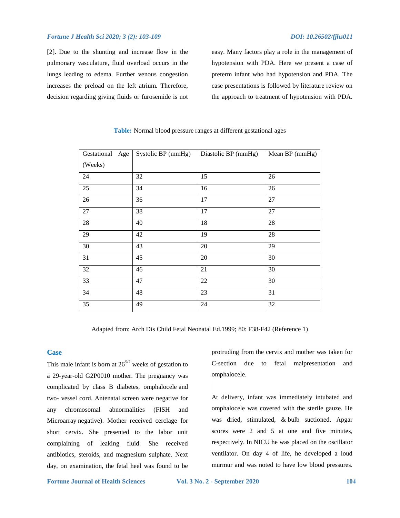### *Fortune J Health Sci 2020; 3 (2): 103-109* DOI: 10.26502/fjhs011

[2]. Due to the shunting and increase flow in the pulmonary vasculature, fluid overload occurs in the lungs leading to edema. Further venous congestion increases the preload on the left atrium. Therefore, decision regarding giving fluids or furosemide is not easy. Many factors play a role in the management of hypotension with PDA. Here we present a case of preterm infant who had hypotension and PDA. The case presentations is followed by literature review on the approach to treatment of hypotension with PDA.

| Gestational Age | Systolic BP (mmHg) | Diastolic BP (mmHg) | Mean BP (mmHg) |
|-----------------|--------------------|---------------------|----------------|
| (Weeks)         |                    |                     |                |
| 24              | 32                 | 15                  | 26             |
| 25              | 34                 | 16                  | 26             |
| 26              | 36                 | 17                  | $27\,$         |
| 27              | 38                 | 17                  | 27             |
| 28              | 40                 | 18                  | 28             |
| 29              | 42                 | 19                  | 28             |
| 30              | 43                 | 20                  | 29             |
| 31              | 45                 | $20\,$              | 30             |
| 32              | 46                 | 21                  | 30             |
| 33              | 47                 | 22                  | 30             |
| 34              | 48                 | 23                  | 31             |
| 35              | 49                 | 24                  | 32             |

### **Table:** Normal blood pressure ranges at different gestational ages

Adapted from: Arch Dis Child Fetal Neonatal Ed.1999; 80: F38-F42 (Reference 1)

## **Case**

This male infant is born at  $26^{5/7}$  weeks of gestation to a 29-year-old G2P0010 mother. The pregnancy was complicated by class B diabetes, omphalocele and two- vessel cord. Antenatal screen were negative for any chromosomal abnormalities (FISH and Microarray negative). Mother received cerclage for short cervix. She presented to the labor unit complaining of leaking fluid. She received antibiotics, steroids, and magnesium sulphate. Next day, on examination, the fetal heel was found to be

protruding from the cervix and mother was taken for C-section due to fetal malpresentation and omphalocele.

At delivery, infant was immediately intubated and omphalocele was covered with the sterile gauze. He was dried, stimulated, & bulb suctioned. Apgar scores were 2 and 5 at one and five minutes, respectively. In NICU he was placed on the oscillator ventilator. On day 4 of life, he developed a loud murmur and was noted to have low blood pressures.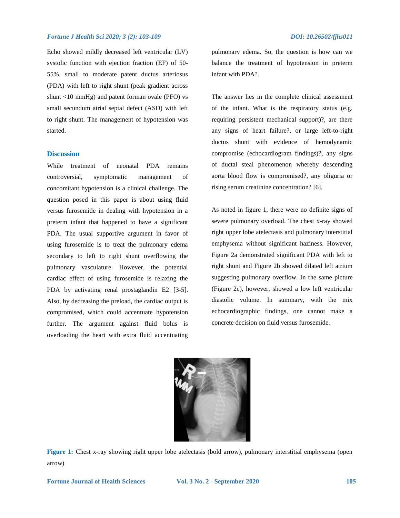Echo showed mildly decreased left ventricular (LV) systolic function with ejection fraction (EF) of 50- 55%, small to moderate patent ductus arteriosus (PDA) with left to right shunt (peak gradient across shunt <10 mmHg) and patent forman ovale (PFO) vs small secundum atrial septal defect (ASD) with left to right shunt. The management of hypotension was started.

### **Discussion**

While treatment of neonatal PDA remains controversial, symptomatic management of concomitant hypotension is a clinical challenge. The question posed in this paper is about using fluid versus furosemide in dealing with hypotension in a preterm infant that happened to have a significant PDA. The usual supportive argument in favor of using furosemide is to treat the pulmonary edema secondary to left to right shunt overflowing the pulmonary vasculature. However, the potential cardiac effect of using furosemide is relaxing the PDA by activating renal prostaglandin E2 [3-5]. Also, by decreasing the preload, the cardiac output is compromised, which could accentuate hypotension further. The argument against fluid bolus is overloading the heart with extra fluid accentuating pulmonary edema. So, the question is how can we balance the treatment of hypotension in preterm infant with PDA?.

The answer lies in the complete clinical assessment of the infant. What is the respiratory status (e.g. requiring persistent mechanical support)?, are there any signs of heart failure?, or large left-to-right ductus shunt with evidence of hemodynamic compromise (echocardiogram findings)?, any signs of ductal steal phenomenon whereby descending aorta blood flow is compromised?, any oliguria or rising serum creatinine concentration? [6].

As noted in figure 1, there were no definite signs of severe pulmonary overload. The chest x-ray showed right upper lobe atelectasis and pulmonary interstitial emphysema without significant haziness. However, Figure 2a demonstrated significant PDA with left to right shunt and Figure 2b showed dilated left atrium suggesting pulmonary overflow. In the same picture (Figure 2c), however, showed a low left ventricular diastolic volume. In summary, with the mix echocardiographic findings, one cannot make a concrete decision on fluid versus furosemide.



**Figure 1:** Chest x-ray showing right upper lobe atelectasis (bold arrow), pulmonary interstitial emphysema (open arrow)

**Fortune Journal of Health Sciences Vol. 3 No. 2 - September 2020 105**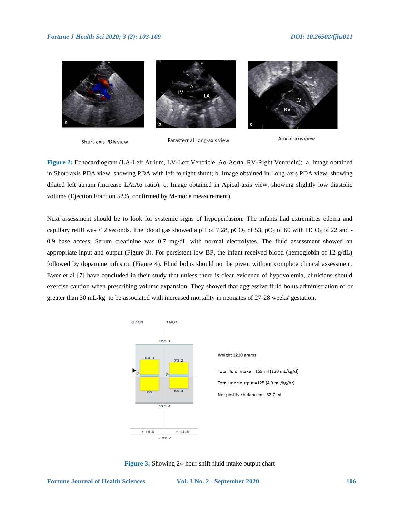

Short-axis PDA view

Parasternal Long-axis view

Apical-axis view

**Figure 2:** Echocardiogram (LA-Left Atrium, LV-Left Ventricle, Ao-Aorta, RV-Right Ventricle); a. Image obtained in Short-axis PDA view, showing PDA with left to right shunt; b. Image obtained in Long-axis PDA view, showing dilated left atrium (increase LA:Ao ratio); c. Image obtained in Apical-axis view, showing slightly low diastolic volume (Ejection Fraction 52%, confirmed by M-mode measurement).

Next assessment should be to look for systemic signs of hypoperfusion. The infants had extremities edema and capillary refill was < 2 seconds. The blood gas showed a pH of 7.28, pCO<sub>2</sub> of 53, pO<sub>2</sub> of 60 with HCO<sub>3</sub> of 22 and -0.9 base access. Serum creatinine was 0.7 mg/dL with normal electrolytes. The fluid assessment showed an appropriate input and output (Figure 3). For persistent low BP, the infant received blood (hemoglobin of  $12 \text{ g/dL}$ ) followed by dopamine infusion (Figure 4). Fluid bolus should not be given without complete clinical assessment. Ewer et al [7] have concluded in their study that unless there is clear evidence of hypovolemia, clinicians should exercise caution when prescribing volume expansion. They showed that aggressive fluid bolus administration of or greater than 30 mL/kg to be associated with increased mortality in neonates of 27-28 weeks' gestation.



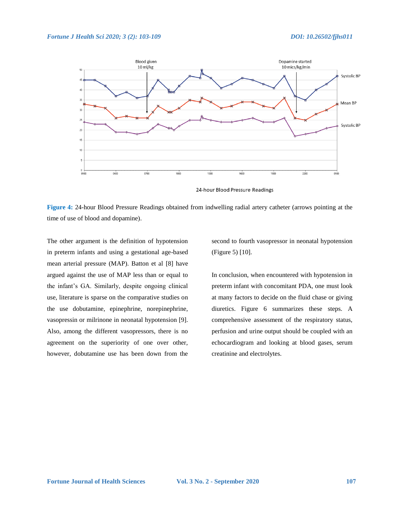

24-hour Blood Pressure Readings

**Figure 4:** 24-hour Blood Pressure Readings obtained from indwelling radial artery catheter (arrows pointing at the time of use of blood and dopamine).

The other argument is the definition of hypotension in preterm infants and using a gestational age-based mean arterial pressure (MAP). Batton et al [8] have argued against the use of MAP less than or equal to the infant's GA. Similarly, despite ongoing clinical use, literature is sparse on the comparative studies on the use dobutamine, epinephrine, norepinephrine, vasopressin or milrinone in neonatal hypotension [9]. Also, among the different vasopressors, there is no agreement on the superiority of one over other, however, dobutamine use has been down from the second to fourth vasopressor in neonatal hypotension (Figure 5) [10].

In conclusion, when encountered with hypotension in preterm infant with concomitant PDA, one must look at many factors to decide on the fluid chase or giving diuretics. Figure 6 summarizes these steps. A comprehensive assessment of the respiratory status, perfusion and urine output should be coupled with an echocardiogram and looking at blood gases, serum creatinine and electrolytes.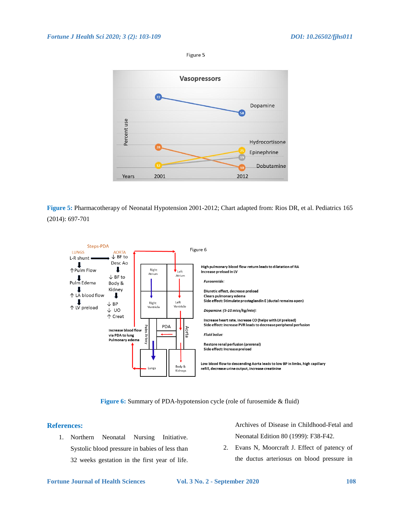

**Figure 5:** Pharmacotherapy of Neonatal Hypotension 2001-2012; Chart adapted from: Rios DR, et al. Pediatrics 165 (2014): 697-701



**Figure 6:** Summary of PDA-hypotension cycle (role of furosemide & fluid)

# **References:**

1. Northern Neonatal Nursing Initiative. Systolic blood pressure in babies of less than 32 weeks gestation in the first year of life. Archives of Disease in Childhood-Fetal and Neonatal Edition 80 (1999): F38-F42.

2. Evans N, Moorcraft J. Effect of patency of the ductus arteriosus on blood pressure in